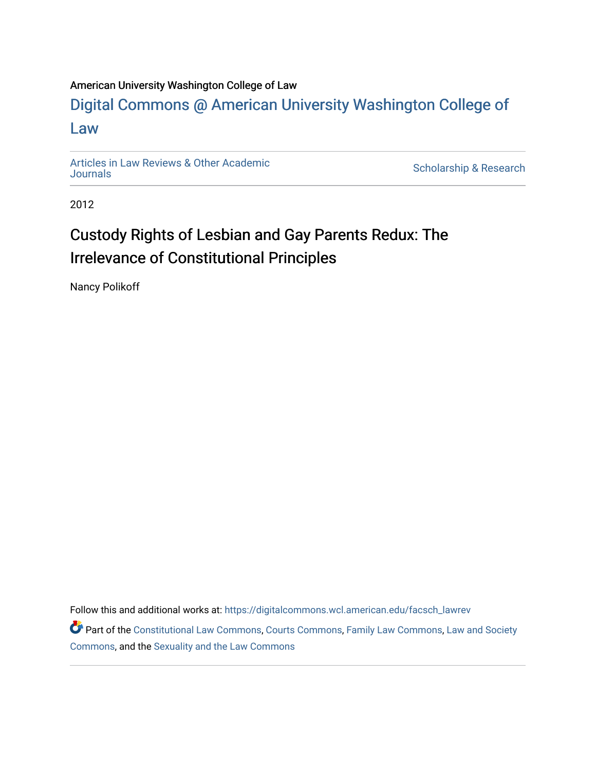## American University Washington College of Law

# [Digital Commons @ American University Washington College of](https://digitalcommons.wcl.american.edu/)  [Law](https://digitalcommons.wcl.american.edu/)

[Articles in Law Reviews & Other Academic](https://digitalcommons.wcl.american.edu/facsch_lawrev) 

Scholarship & Research

2012

# Custody Rights of Lesbian and Gay Parents Redux: The Irrelevance of Constitutional Principles

Nancy Polikoff

Follow this and additional works at: [https://digitalcommons.wcl.american.edu/facsch\\_lawrev](https://digitalcommons.wcl.american.edu/facsch_lawrev?utm_source=digitalcommons.wcl.american.edu%2Ffacsch_lawrev%2F1226&utm_medium=PDF&utm_campaign=PDFCoverPages) 

Part of the [Constitutional Law Commons,](http://network.bepress.com/hgg/discipline/589?utm_source=digitalcommons.wcl.american.edu%2Ffacsch_lawrev%2F1226&utm_medium=PDF&utm_campaign=PDFCoverPages) [Courts Commons,](http://network.bepress.com/hgg/discipline/839?utm_source=digitalcommons.wcl.american.edu%2Ffacsch_lawrev%2F1226&utm_medium=PDF&utm_campaign=PDFCoverPages) [Family Law Commons,](http://network.bepress.com/hgg/discipline/602?utm_source=digitalcommons.wcl.american.edu%2Ffacsch_lawrev%2F1226&utm_medium=PDF&utm_campaign=PDFCoverPages) [Law and Society](http://network.bepress.com/hgg/discipline/853?utm_source=digitalcommons.wcl.american.edu%2Ffacsch_lawrev%2F1226&utm_medium=PDF&utm_campaign=PDFCoverPages) [Commons](http://network.bepress.com/hgg/discipline/853?utm_source=digitalcommons.wcl.american.edu%2Ffacsch_lawrev%2F1226&utm_medium=PDF&utm_campaign=PDFCoverPages), and the [Sexuality and the Law Commons](http://network.bepress.com/hgg/discipline/877?utm_source=digitalcommons.wcl.american.edu%2Ffacsch_lawrev%2F1226&utm_medium=PDF&utm_campaign=PDFCoverPages)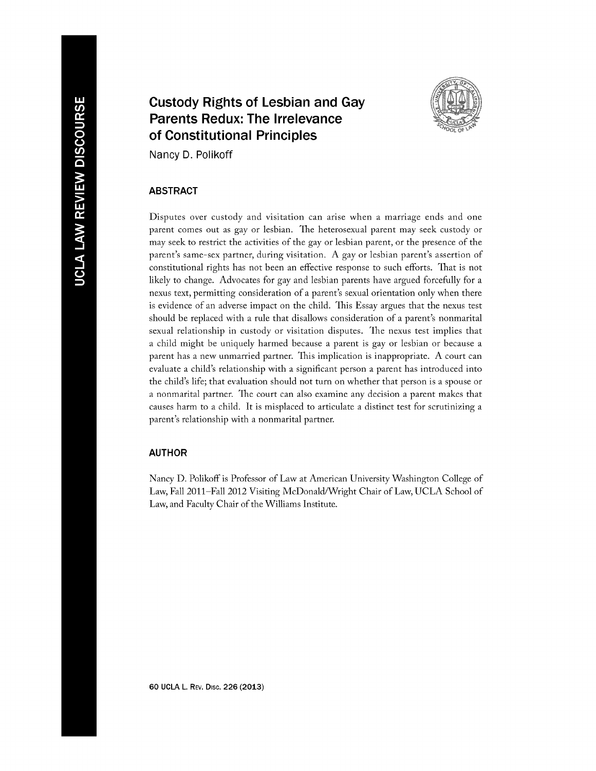## **Custody Rights of Lesbian and Gay Parents Redux: The Irrelevance of Constitutional Principles**



Nancy **D.** Polikoff

### ABSTRACT

Disputes over custody and visitation can arise when a marriage ends and one parent comes out as gay or lesbian. the heterosexual parent may seek custody or may seek to restrict the activities of the gay or lesbian parent, or the presence of the parent's same-sex partner, during visitation. A gay or lesbian parent's assertion of constitutional rights has not been an effective response to such efforts. That is not likely to change. Advocates for gay and lesbian parents have argued forcefully for a nexus text, permitting consideration of a parent's sexual orientation only when there is evidence of an adverse impact on the child. This Essay argues that the nexus test should be replaced with a rule that disallows consideration of a parent's nonmarital sexual relationship in custody or visitation disputes. The nexus test implies that a child might be uniquely harmed because a parent is gay or lesbian or because a parent has a new unmarried partner. This implication is inappropriate. A court can evaluate a child's relationship with a significant person a parent has introduced into the child's life; that evaluation should not turn on whether that person is a spouse or a nonmarital partner. The court can also examine any decision a parent makes that causes harm to a child. It is misplaced to articulate a distinct test for scrutinizing a parent's relationship with a nonmarital partner.

#### AUTHOR

Nancy D. Polikoff is Professor of Law at American University Washington College of Law, Fall 2011-Fall 2012 Visiting McDonald/Wright Chair of Law, UCLA School of Law, and Faculty Chair of the Williams Institute.

**60 UCLA L. REV. Disc. 226 (2013)**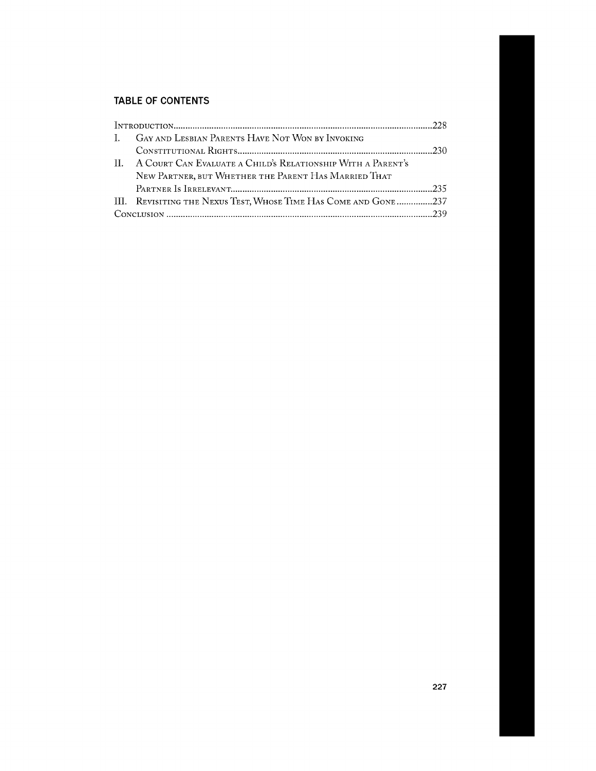## **TABLE OF CONTENTS**

| I. GAY AND LESBIAN PARENTS HAVE NOT WON BY INVOKING<br>II. A COURT CAN EVALUATE A CHILD'S RELATIONSHIP WITH A PARENT'S<br>NEW PARTNER, BUT WHETHER THE PARENT HAS MARRIED THAT |  |
|--------------------------------------------------------------------------------------------------------------------------------------------------------------------------------|--|
|                                                                                                                                                                                |  |
|                                                                                                                                                                                |  |
|                                                                                                                                                                                |  |
|                                                                                                                                                                                |  |
|                                                                                                                                                                                |  |
| III. REVISITING THE NEXUS TEST, WHOSE TIME HAS COME AND GONE237                                                                                                                |  |
|                                                                                                                                                                                |  |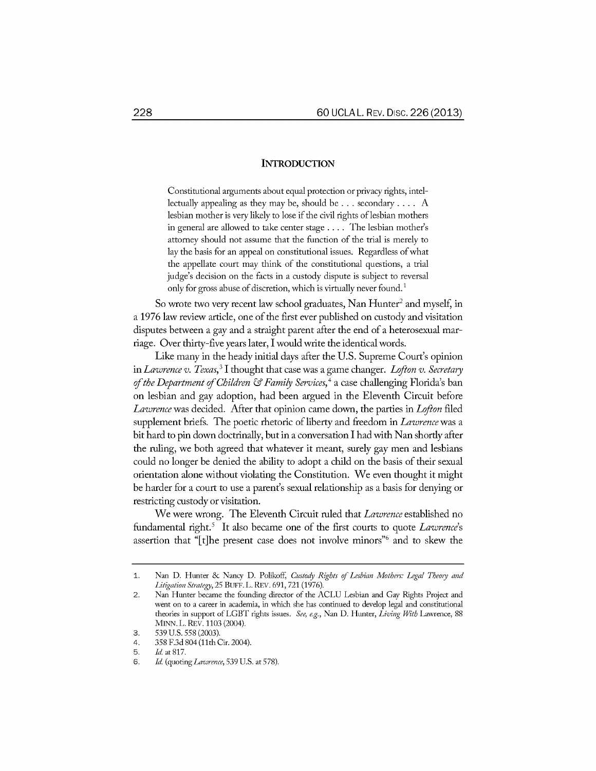#### **INTRODUCTION**

Constitutional arguments about equal protection or privacy rights, intellectually appealing as they may be, should be... secondary .... A lesbian mother is very likely to lose if the civil rights of lesbian mothers in general are allowed to take center stage .... The lesbian mother's attorney should not assume that the function of the trial is merely to lay the basis for an appeal on constitutional issues. Regardless of what the appellate court may think of the constitutional questions, a trial judge's decision on the facts in a custody dispute is subject to reversal only for gross abuse of discretion, which is virtually never found.<sup>1</sup>

So wrote two very recent law school graduates, Nan Hunter<sup>2</sup> and myself, in a 1976 law review article, one of the first ever published on custody and visitation disputes between a gay and a straight parent after the end of a heterosexual marriage. Over thirty-five years later, I would write the identical words.

Like many in the heady initial days after the U.S. Supreme Court's opinion in *Lawrence v. Texas,3 I* thought that case was a game changer. *Lofton v. Secretary of the Department of Children & Family Services,4* a case challenging Florida's ban on lesbian and gay adoption, had been argued in the Eleventh Circuit before *Lawrence* was decided. After that opinion came down, the parties in *Lofton* filed supplement briefs. The poetic rhetoric of liberty and freedom in *Lawrence* was a bit hard to pin down doctrinally, but in a conversation I had with Nan shortly after the ruling, we both agreed that whatever it meant, surely gay men and lesbians could no longer be denied the ability to adopt a child on the basis of their sexual orientation alone without violating the Constitution. We even thought it might be harder for a court to use a parent's sexual relationship as a basis for denying or restricting custody or visitation.

We were wrong. The Eleventh Circuit ruled that *Lawrence* established no fundamental right.' It also became one of the first courts to quote *Lawrence's* assertion that "[t]he present case does not involve minors"<sup>6</sup> and to skew the

<sup>1.</sup> Nan D. Hunter **&** Nancy D. Polikoff, *Custody Rights of Lesbian Mothers. Legal Theory and Litigation Strategy,* 25 BUFF. L. REV. 691, 721 (1976).

<sup>2.</sup> Nan Hunter became the founding director of the ACLU Lesbian and Gay Rights Project and went on to a career in academia, in which she has continued to develop legal and constitutional theories in support of LGBT rights issues. *See, e.g.,* Nan D. Hunter, *Living With* Lawrence, 88 **MINN.** L. REv. 1103 (2004).

<sup>3. 539</sup> U.S. 558 (2003).

<sup>4. 358</sup> F.3d 804 (11th Cir. 2004).

<sup>5.</sup> *Id.* at **817.**

<sup>6.</sup> *Id.* (quoting *Lawrence,* 539 U.S. at 578).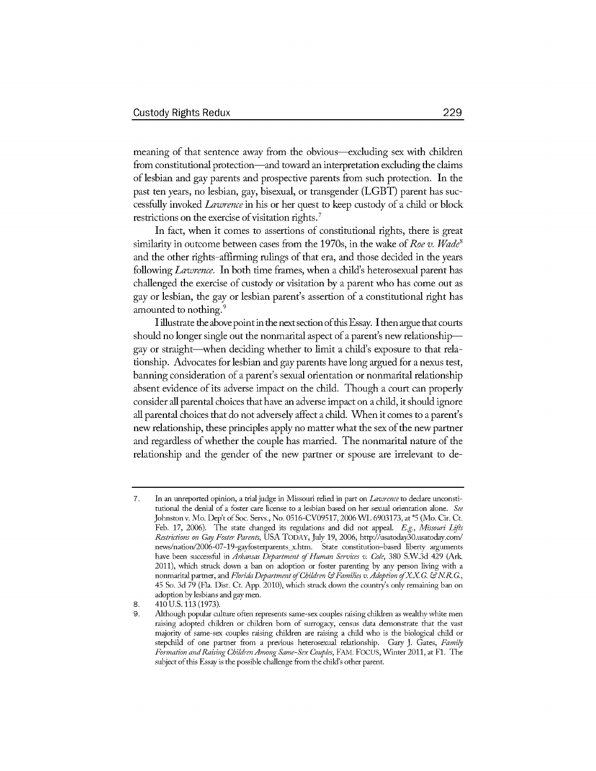meaning of that sentence away from the obvious—excluding sex with children from constitutional protection—and toward an interpretation excluding the claims of lesbian and gay parents and prospective parents from such protection. In the past ten years, no lesbian, gay, bisexual, or transgender (LGBT) parent has successfiuly invoked *Lawrence* in his or her quest to keep custody of a child or block restrictions on the exercise of visitation rights.<sup>7</sup>

In fact, when it comes to assertions of constitutional rights, there is great similarity in outcome between cases from the 1970s, in the wake of *Roe v. Wade'* and the other rights-affirming rulings of that era, and those decided in the years following *Lawrence.* In both time frames, when a child's heterosexual parent has challenged the exercise of custody or visitation by a parent who has come out as gay or lesbian, the gay or lesbian parent's assertion of a constitutional right has amounted to nothing.<sup>9</sup>

I illustrate the above point in the next section of this Essay. I then argue that courts should no longer single out the nonmarital aspect of a parent's new relationshipgay or straight-when deciding whether to limit a child's exposure to that relationship. Advocates for lesbian and gay parents have long argued for a nexus test, banning consideration of a parent's sexual orientation or nonmarital relationship absent evidence of its adverse impact on the child. Though a court can properly consider all parental choices that have an adverse impact on a child, it should ignore all parental choices that do not adversely affect a child. When it comes to a parent's new relationship, these principles apply no matter what the sex of the new partner and regardless of whether the couple has married. The nonmarital nature of the relationship and the gender of the new partner or spouse are irrelevant to de-

<sup>7.</sup> In an unreported opinion, a trial judge in Missouri relied in part on *Lawrence* to declare unconstitutional the denial of a foster care license to a lesbian based on her sexual orientation alone. *See* Johnston v. Mo. Dep't of Soc. Servs., No. 0516-CV09517, 2006 WL 6903173, at \*5 (Mo. Cir. Ct. Feb. 17, 2006). The state changed its regulations and did not appeal. *E.g., Missouri Lifts Restrictions* on *Gay Foster Parents,* USA TODAY, July 19, 2006, http://usatoday30.usatoday.con/ news/nation/2006-07-19-gayfosterparents x-htm. State constitution-based liberty arguments have been successful in *Arkansas Department of Human Services v. Cole*, 380 S.W.3d 429 (Ark. 2011), which struck down a ban on adoption or foster parenting by any person living with a nonmarital parmer, and *Florida Department of Children &Families v. Adoption* **fX.X .***&NIK* **.,** 45 So. 3d 79 (Fla. Dist. Ct. App. 2010), which struck down the country's only remaining ban on adoption by lesbians and gay men.

<sup>8. 410</sup> U.S. 113 (1973).

<sup>9.</sup> Although popular culture often represents same-sex couples raising children as wealthy white men raising adopted children or children born of surrogacy, census data demonstrate that the vast majority of same-sex couples raising children are raising a child who is the biological child or stepchild of one parmer from a previous heterosexual relationship. Gary J. Gates, *Family Formation and Raising Children Among Same-Sex Couples,* **FAM.** FOCUS, Winter 2011, at Fl. The subject of this Essay is the possible challenge from the child's other parent.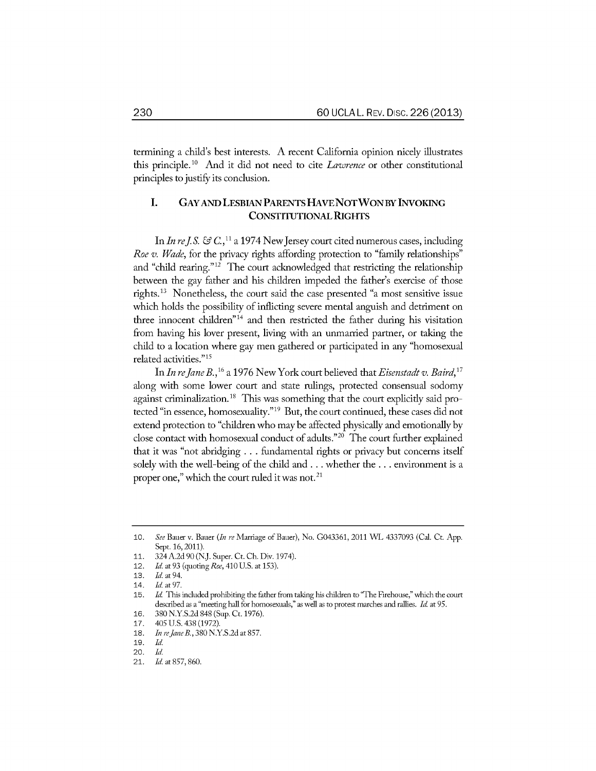termining a child's best interests. A recent California opinion nicely illustrates this principle.<sup>1</sup> " And it did not need to cite *Lawrence* or other constitutional principles to justify its conclusion.

### I. **GAY AND LESBIAN** PARENTS **HAVE NOT WON** BY INVOKING **CONSTITUTIONAL** RIGHTS

In *In re J.S.*  $\mathcal{F}C$ , <sup>11</sup> a 1974 New Jersey court cited numerous cases, including *Roe v. Wade,* for the privacy rights affording protection to "family relationships" and "child rearing."12 The court acknowledged that restricting the relationship between the gay father and his children impeded the father's exercise of those rights.13 Nonetheless, the court said the case presented "a most sensitive issue which holds the possibility of inflicting severe mental anguish and detriment on three innocent children"14 and then restricted the father during his visitation from having his lover present, living with an unmarried partner, or taking the child to a location where gay men gathered or participated in any "homosexual related activities."<sup>15</sup>

In *In rejane B.,16* a 1976 New York court believed that *Eisenstadt* v. *Baird,17* along with some lower court and state rulings, protected consensual sodomy against criminalization.18 This was something that the court explicitly said protected "in essence, homosexuality." 19 But, the court continued, these cases did not extend protection to "children who may be affected physically and emotionally by close contact with homosexual conduct of adults." $20$  The court further explained that it was "not abridging **...** fundamental rights or privacy but concerns itself solely with the well-being of the child and.., whether the **...** environment is a proper one," which the court ruled it was not. $21$ 

<sup>10.</sup> See Bauer v. Bauer *(In re* Marriage of Bauer), No. G043361, 2011 WL 4337093 (Cal. Ct. App. Sept. 16, 2011).

<sup>11. 324</sup> A.2d 90 (NJ. Super. Ct. Ch. Div. 1974).

<sup>12.</sup> *Id. at* 93 (quoting *Roe,* 410 U.S. at 153).

<sup>13.</sup> *Id.* at 94. 14. *Id.* at 97.

<sup>15.</sup> *Id* This included prohibiting the father from taking his children to 'The Frehouse," which the court described as a "meeting hall for homosexuals," as well as to protest marches and rallies. *Id* at 95.

<sup>16. 380</sup> N.Y.S.2d 848 (Sup. Ct. 1976).

<sup>17. 405</sup> U.S. 438 (1972).

<sup>18.</sup> *In re Jane B.*, 380 N.Y.S.2d at 857.

<sup>19.</sup> *Id.*

<sup>20.</sup> *Id.*

<sup>21.</sup> *Id.* at 857, 860.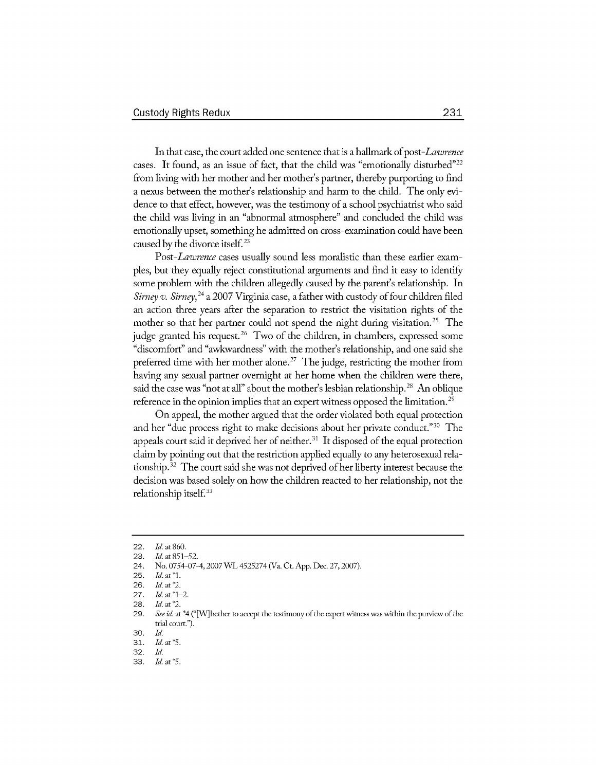In that case, the court added one sentence that is a hallmark of *post-Lawrence* cases. It found, as an issue of fact, that the child was "emotionally disturbed"<sup>22</sup> from living with her mother and her mother's partner, thereby purporting to find a nexus between the mother's relationship and harm to the child. The only evidence to that effect, however, was the testimony of a school psychiatrist who said the child was living in an "abnormal atmosphere" and concluded the child was emotionally upset, something he admitted on cross-examination could have been caused by the divorce itself.<sup>23</sup>

*Post-Lawrence* cases usually sound less moralistic than these earlier examples, but they equally reject constitutional arguments and find it easy to identify some problem with the children allegedly caused by the parent's relationship. In *Sirney* v. *Sirney, <sup>24</sup>*a 2007 Virginia case, a father with custody of four children filed an action three years after the separation to restrict the visitation rights of the mother so that her partner could not spend the night during visitation.<sup>25</sup> The judge granted his request.<sup>26</sup> Two of the children, in chambers, expressed some "discomfort" and "awkwardness" with the mother's relationship, and one said she preferred time with her mother alone.<sup>27</sup> The judge, restricting the mother from having any sexual partner overnight at her home when the children were there, said the case was "not at all" about the mother's lesbian relationship.<sup>28</sup> An oblique reference in the opinion implies that an expert witness opposed the limitation.<sup>29</sup>

On appeal, the mother argued that the order violated both equal protection and her "due process right to make decisions about her private conduct."<sup>30</sup> The appeals court said it deprived her of neither. $31$  It disposed of the equal protection claim by pointing out that the restriction applied equally to any heterosexual relationship.<sup>32</sup> The court said she was not deprived of her liberty interest because the decision was based solely on how the children reacted to her relationship, not the relationship itself.<sup>33</sup>

<sup>22.</sup> *Id.* at **860.**

<sup>23.</sup> *Id.* at **851-52.**

<sup>24.</sup> No. 0754-07-4,2007 WL 4525274 (Va. Ct. App. Dec. 27,2007).

<sup>25.</sup> *Id. at\*1.*

<sup>26.</sup> *Id.* at *\*2.*

<sup>27.</sup> *Id.* at \*1-2.

<sup>28.</sup> *Id.* at *\*2.*

<sup>29.</sup> *See id.* at \*4 ('[V]hether to accept the testimony of the expert witness was within the purview of the trial court.").

<sup>30.</sup> **Id.**

<sup>31.</sup> *Id. at \*5.*

<sup>32.</sup> **Id.**

<sup>33.</sup> *Id. at\*5.*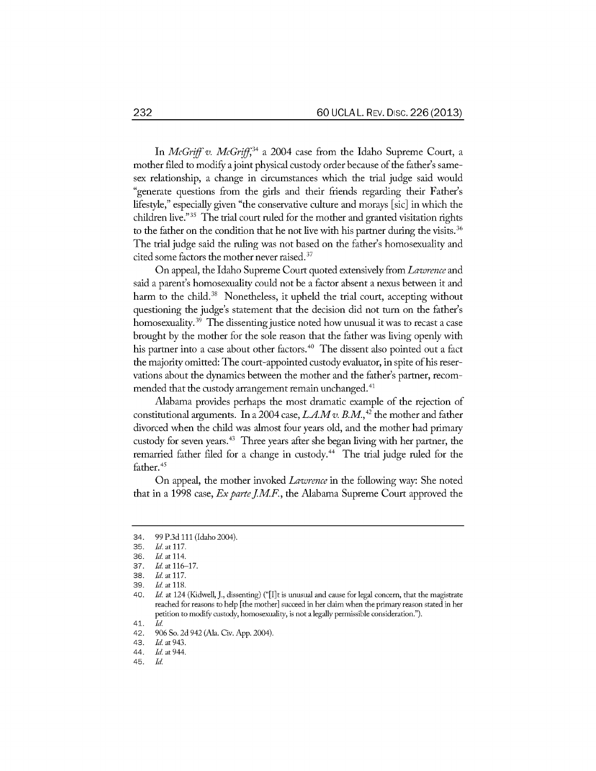In *McGriff v. McGriff*,<sup>34</sup> a 2004 case from the Idaho Supreme Court, a mother filed to modify a joint physical custody order because of the father's samesex relationship, a change in circumstances which the trial judge said would "generate questions from the girls and their friends regarding their Father's lifestyle," especially given "the conservative culture and morays [sic] in which the children live."<sup>35</sup> The trial court ruled for the mother and granted visitation rights to the father on the condition that he not live with his partner during the visits.<sup>36</sup> The trial judge said the ruling was not based on the father's homosexuality and cited some factors the mother never raised.<sup>37</sup>

On appeal, the Idaho Supreme Court quoted extensively from *Lawrence* and said a parent's homosexuality could not be a factor absent a nexus between it and harm to the child.<sup>38</sup> Nonetheless, it upheld the trial court, accepting without questioning the judge's statement that the decision did not turn on the father's homosexuality.<sup>39</sup> The dissenting justice noted how unusual it was to recast a case brought by the mother for the sole reason that the father was living openly with his partner into a case about other factors.<sup>40</sup> The dissent also pointed out a fact the majority omitted: The court-appointed custody evaluator, in spite of his reservations about the dynamics between the mother and the father's partner, recommended that the custody arrangement remain unchanged.<sup>41</sup>

Alabama provides perhaps the most dramatic example of the rejection of constitutional arguments. In a 2004 case, *LA.Mv. B.M.,42* the mother and father divorced when the child was almost four years old, and the mother had primary custody for seven years.43 Three years after she began living with her partner, the remarried father filed for a change in custody.<sup>44</sup> The trial judge ruled for the father.<sup>45</sup>

On appeal, the mother invoked *Lawrence* in the following way: She noted that in a 1998 case, *Ex parte J.M.F.*, the Alabama Supreme Court approved the

<sup>34. 99</sup> P.3d 111 (Idaho 2004).

<sup>35.</sup> *Id.* at 117.

<sup>36.</sup> *Id. at* 114.

<sup>37.</sup> *Id.* at **116-17.**

<sup>38.</sup> *Id.* at **117.**

<sup>39.</sup> *Id.* at **118.**

<sup>40.</sup> *Id. at* 124 (Kidwell, J., dissenting) ("[I]t is unusual and cause for legal concern, that the magistrate reached for reasons to help [the mother] succeed in her daim when the primary reason stated in her petition to modify custody, homosexuality, is not a legally permissible consideration.").

<sup>41.</sup> *Id.*

<sup>42. 906</sup> So. 2d 942 (Ala. Civ. App. 2004).

<sup>43.</sup> *Id.* at 943.

<sup>44.</sup> *Id.* at 944.

<sup>45.</sup> *Id.*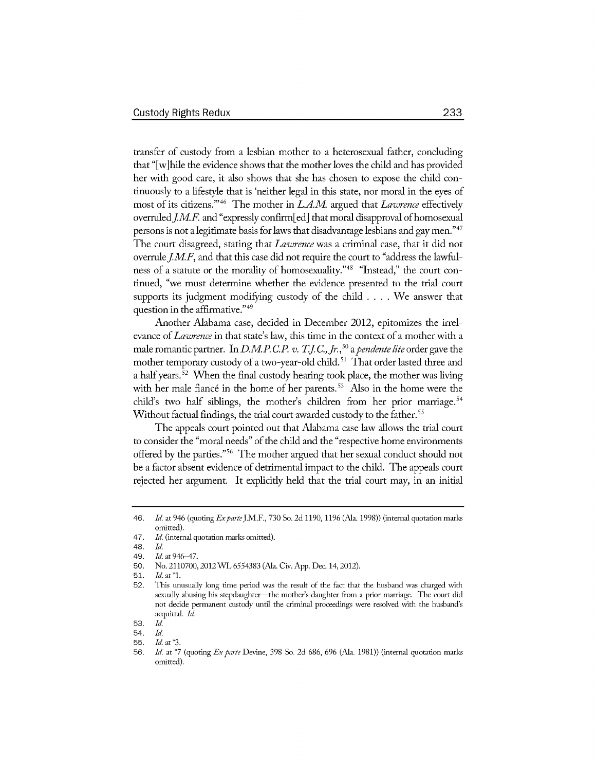transfer of custody from a lesbian mother to a heterosexual father, concluding that "[w]hile the evidence shows that the mother loves the child and has provided her with good care, it also shows that she has chosen to expose the child continuously to a lifestyle that is 'neither legal in this state, nor moral in the eyes of most of its citizens."'46 The mother in *LAM* argued that *Lawrence* effectively overruled *J.M.F.* and "expressly confirm[ed] that moral disapproval of homosexual persons is not a legitimate basis for laws that disadvantage lesbians and gay men."47 The court disagreed, stating that *Lawrence* was a criminal case, that it did not overrule *J.M.F*, and that this case did not require the court to "address the lawfulness of a statute or the morality of homosexuality."48 "Instead," the court continued, "we must determine whether the evidence presented to the trial court supports its judgment modifying custody of the child .... We answer that question in the affirmative."<sup>49</sup>

Another Alabama case, decided in December 2012, epitomizes the irrelevance of *Lawrence* in that state's law, this time in the context of a mother with a male romantic partner. In *D.M.P.C.P. v. T.J.C., Jr.*,<sup>50</sup> a *pendente lite* order gave the mother temporary custody of a two-year-old child.<sup>51</sup> That order lasted three and a half years.<sup>52</sup> When the final custody hearing took place, the mother was living with her male fiancé in the home of her parents.<sup>53</sup> Also in the home were the child's two half siblings, the mother's children from her prior marriage.<sup>54</sup> Without factual findings, the trial court awarded custody to the father.<sup>55</sup>

The appeals court pointed out that Alabama case law allows the trial court to consider the "moral needs" of the child and the "respective home environments offered **by** the parties."6 The mother argued that her sexual conduct should not be a factor absent evidence of detrimental impact to the child. The appeals court rejected her argument. It explicitly held that the trial court may, in an initial

<sup>46.</sup> *Id.* at 946 (quoting *Ex parte* J.M.F., 730 So. 2d 1190, 1196 (Ala. 1998)) (internal quotation marks omitted).

<sup>47.</sup> *Id.* (internal quotation marks omitted).

<sup>48.</sup> *Id.*

<sup>49.</sup> *Id.* at 946-47.

<sup>50.</sup> No. 2110700,2012 *WL* 6554383 (Ala. Civ. App. Dec. 14,2012).

<sup>51.</sup> Id. at **\*1.**

<sup>52.</sup> This unusually long time period was the result of the fact that the husband was charged with sexually abusing his stepdaughter—the mother's daughter from a prior marriage. The court did not decide permanent custody until the criminal proceedings were resolved with the husband's acquittal. *Id*

<sup>53.</sup> *Id.*

<sup>54.</sup> *Id.*

**<sup>55.</sup>** *Id.* at **"3.**

<sup>56.</sup> *Id.* at \*7 (quoting *Exparte* Devine, 398 So. 2d 686, 696 (Ala. 1981)) (internal quotation marks omitted).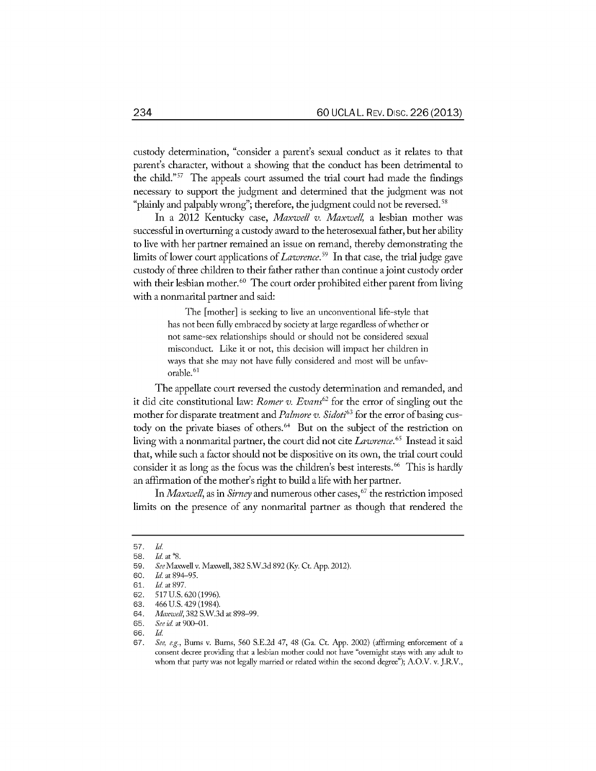custody determination, "consider a parent's sexual conduct as it relates to that parent's character, without a showing that the conduct has been detrimental to the child."<sup>57</sup> The appeals court assumed the trial court had made the findings necessary to support the judgment and determined that the judgment was not "plainly and palpably wrong"; therefore, the judgment could not be reversed.<sup>58</sup>

In a 2012 Kentucky case, *Maxwell v. Maxwell,* a lesbian mother was successful in overturning a custody award to the heterosexual father, but her ability to live with her partner remained an issue on remand, thereby demonstrating the limits of lower court applications of *Lawrence.9* In that case, the trial judge gave custody of three children to their father rather than continue a joint custody order with their lesbian mother.<sup>60</sup> The court order prohibited either parent from living with a nonmarital partner and said:

> The [mother] is seeking to live an unconventional life-style that has not been fully embraced by society at large regardless of whether or not same-sex relationships should or should not be considered sexual misconduct. Like it or not, this decision will impact her children in ways that she may not have fully considered and most will be unfavorable.<sup>61</sup>

The appellate court reversed the custody determination and remanded, and it did cite constitutional law: *Romer v. Evans62* for the error of singling out the mother for disparate treatment and *Palmore v. Sidoti<sup>63</sup>* for the error of basing custody on the private biases of others.<sup>64</sup> But on the subject of the restriction on living with a nonmarital partner, the court did not cite *Lawrence.65* Instead it said that, while such a factor should not be dispositive on its own, the trial court could consider it as long as the focus was the children's best interests.<sup>66</sup> This is hardly an affirmation of the mother's right to build a life with her partner.

In *Maxwell*, as in *Sirney* and numerous other cases, <sup>67</sup> the restriction imposed limits on the presence of any nonmarital partner as though that rendered the

<sup>57.</sup> *Id.*

<sup>58.</sup> *Id.* at **\*8.**

<sup>59.</sup> *See* Maxwell v. Maxwell, 382 S.W.3d 892 (Ky. Ct. App. 2012).

<sup>60.</sup> *Id. at* 894-95.

<sup>61.</sup> *Id.* at 897.

<sup>62. 517</sup> U.S. 620 (1996).

<sup>63. 466</sup> U.S. 429 (1984).

<sup>64.</sup> *Maxvwell,* 382 S.W.3d at 898-99.

<sup>65.</sup> *See* id. at 900-01.

<sup>66.</sup> *Id.*

<sup>67.</sup> *See, e.g.,* Burns v. Burns, 560 S.E.2d 47, 48 (Ga. Ct. App. 2002) (affirming enforcement of a consent decree providing that a lesbian mother could not have "overnight stays with any adult to whom that party was not legally married or rdated within the second degree"); A.O.V. v. J.R.V.,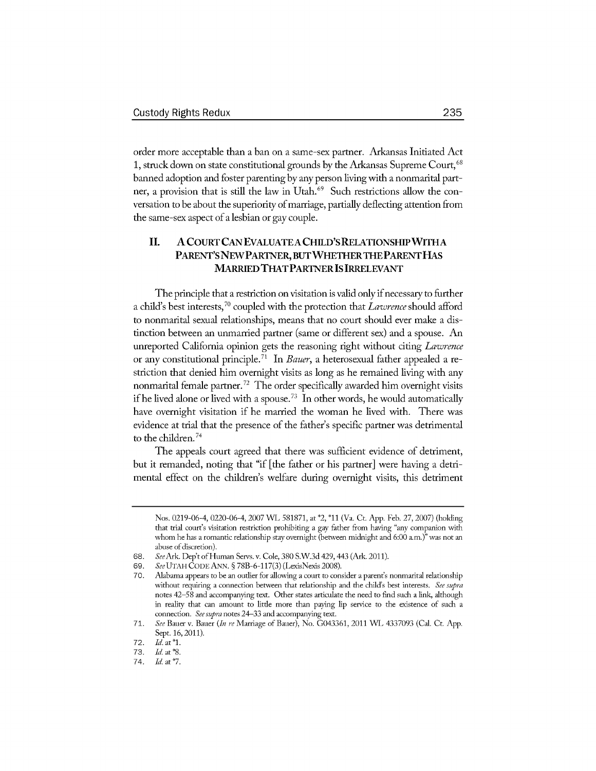order more acceptable than a ban on a same-sex partner. Arkansas Initiated Act 1, struck down on state constitutional grounds by the Arkansas Supreme Court,<sup>68</sup> banned adoption and foster parenting by any person living with a nonmarital partner, a provision that is still the law in Utah.<sup>69</sup> Such restrictions allow the conversation to be about the superiority of marriage, partially deflecting attention from the same-sex aspect of a lesbian or gay couple.

### II. **A COURT CAN** EVALUATE **A** CHILD'S RELATIONSHIP WITH **A PARENT'S NEW PARTNER, BUT WHETHER THE PARENT HAS** MARRIED THAT PARTNER IS IRRELEVANT

The principle that a restriction on visitation is valid only if necessary to further a child's best interests,70 coupled with the protection that *Lawrence* should afford to nonmarital sexual relationships, means that no court should ever make a distinction between an unmarried partner (same or different sex) and a spouse. An unreported California opinion gets the reasoning right without citing *Lawrence* or any constitutional principle.71 In *Bauer,* a heterosexual father appealed a **re**striction that denied him overnight visits as long as he remained living with any nonmarital female partner.<sup>72</sup> The order specifically awarded him overnight visits if he lived alone or lived with a spouse.<sup>73</sup> In other words, he would automatically have overnight visitation if he married the woman he lived with. There was evidence at trial that the presence of the father's specific partner was detrimental to the children.<sup>74</sup>

The appeals court agreed that there was sufficient evidence of detriment, but it remanded, noting that "if [the father or his partner] were having a detrimental effect on the children's welfare during overnight visits, this detriment

Nos. 0219-06-4, 0220-06-4, 2007 WL 581871, at \*2, **\*11** (Va. Ct. App. Feb. 27, 2007) (holding that trial court's visitation restriction prohibiting a gay father from having "any companion with whom he has a romantic relationship stay overnight (between midnight and 6:00 am.)" was not an abuse of discretion).

<sup>68.</sup> *SeeArl* Dep't of Human Servs. v. Cole, 380 S.W.3d 429,443 (Ark 2011).

<sup>69.</sup> *SeeUTAH* CODE ANN. § 78B-6-117(3) (LexisNexis 2008).

<sup>70.</sup> Alabama appears to be an outlier for allowing a court to consider a parent's nonmarital relationship without requiring a connection between that relationship and the child's best interests. *See supra* notes 42-58 and accompanying text. Other states articulate the need to find such a link, although in reality that can amount to little more than paying lip service to the existence of such a connection. *See supra* notes 24-33 and accompanying text.

<sup>71.</sup> *See* Bauer v. Bauer *(In re* Marriage of Bauer), No. G043361, 2011 WL 4337093 (Cal. Ct. App. Sept. 16, 2011).

<sup>72.</sup> *Id.* at \*1.

<sup>73.</sup> **Id.** at **\*8.**

<sup>74.</sup> **Id.** at **\*7.**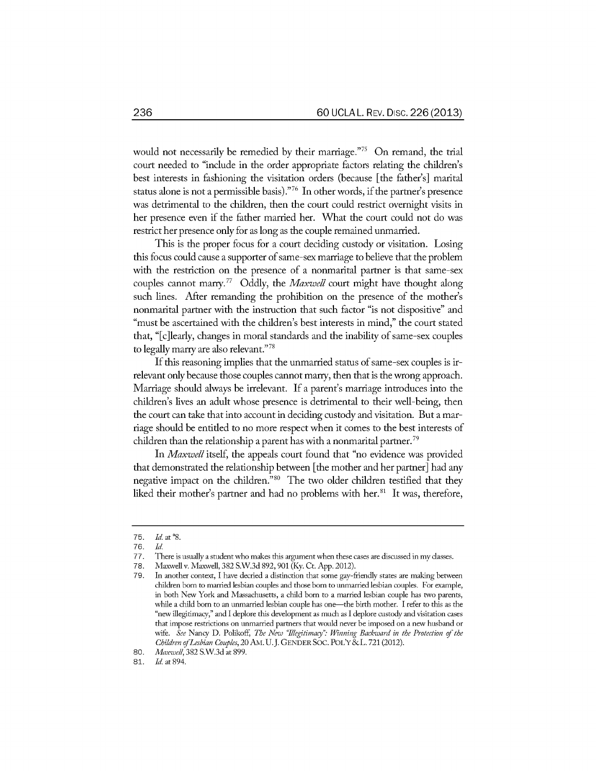would not necessarily be remedied by their marriage."<sup>75</sup> On remand, the trial court needed to "include in the order appropriate factors relating the children's best interests in fashioning the visitation orders (because [the father's] marital status alone is not a permissible basis)." $^{\rm 76}$  In other words, if the partner's presence was detrimental to the children, then the court could restrict overnight visits in her presence even if the father married her. What the court could not do was restrict her presence only for as long as the couple remained unmarried.

This is the proper focus for a court deciding custody or visitation. Losing this focus could cause a supporter of same-sex marriage to believe that the problem with the restriction on the presence of a nonmarital partner is that same-sex couples cannot marry.77 Oddly, the *Maxwell* court might have thought along such lines. After remanding the prohibition on the presence of the mother's nonmarital partner with the instruction that such factor "is not dispositive" and "must be ascertained with the children's best interests in mind," the court stated that, "[c]learly, changes in moral standards and the inability of same-sex couples to legally marry are also relevant."<sup>78</sup>

If this reasoning implies that the unmarried status of same-sex couples is irrelevant only because those couples cannot marry, then that is the wrong approach. Marriage should always be irrelevant. If a parent's marriage introduces into the children's lives an adult whose presence is detrimental to their well-being, then the court can take that into account in deciding custody and visitation. But a marriage should be entitled to no more respect when it comes to the best interests of children than the relationship a parent has with a nonmarital partner. <sup>79</sup>

In *Maxwell* itself, the appeals court found that "no evidence was provided that demonstrated the relationship between [the mother and her partner] had any negative impact on the children."<sup>80</sup> The two older children testified that they liked their mother's partner and had no problems with her.<sup>81</sup> It was, therefore,

<sup>75.</sup> *Id.* at **\*S.**

*<sup>76.</sup>* **Id.**

<sup>77.</sup> There is usually a student who makes this argument when these cases are discussed in my classes.

<sup>78.</sup> Maxwell v. Maxwell, 382 S.W.3d 892, 901 (Ky. Ct. App. 2012).

<sup>79.</sup> In another context, I have decried a distinction that some gay-friendly states are making between children born to married lesbian couples and those born to unmarried lesbian couples. For example, in both New York and Massachusetts, a child born to a married lesbian couple has two parents, while a child born to an unmarried lesbian couple has one—the birth mother. I refer to this as the "new illegitimacy," and I deplore this development as much as I deplore custody and visitation cases that impose restrictions on unmarried partners that would never be imposed on a new husband or wife. See Nancy D. Polikoff, *The New "Illegitimacy": Winning Backward in the Protection of the Children ofLesbian Couples,* 20 AM. U.J. **GENDER** SOC. POL'Y&L. 721 (2012).

<sup>80.</sup> *Maxwvell,* 382 S.W.3d at 899.

<sup>81.</sup> *Id.* at 894.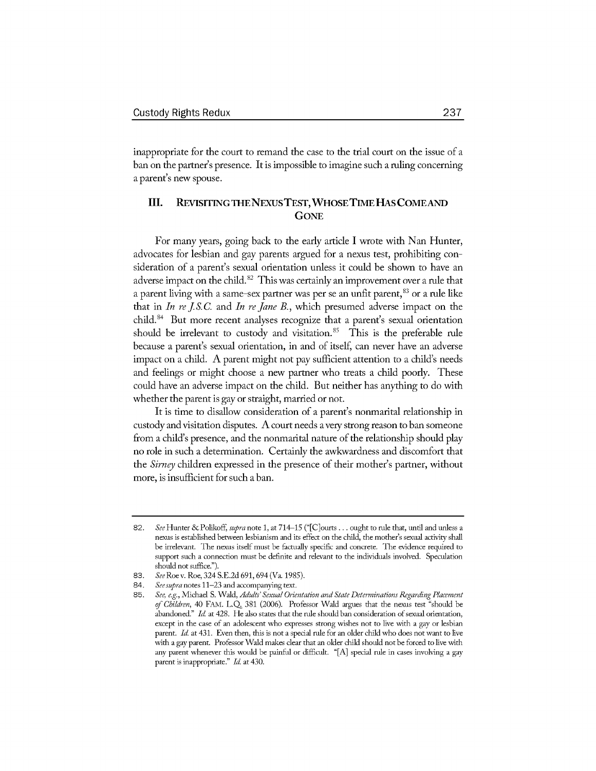inappropriate for the court to remand the case to the trial court on the issue of a ban on the partner's presence. It is impossible to imagine such a ruling concerning a parent's new spouse.

#### **III. REVISITING THE NEXUS TEST, WHOSE TIME HAS COME AND** GoNE

For many years, going back to the early article I wrote with Nan Hunter, advocates for lesbian and gay parents argued for a nexus test, prohibiting consideration of a parent's sexual orientation unless it could be shown to have an adverse impact on the child. *82* This was certainly an improvement over a rule that a parent living with a same-sex partner was per se an unfit parent,  $83$  or a rule like that in *In re J* **S.** *C.* and *In re Jane* B., which presumed adverse impact on the child.<sup>84</sup> But more recent analyses recognize that a parent's sexual orientation should be irrelevant to custody and visitation.<sup>85</sup> This is the preferable rule because a parent's sexual orientation, in and of itself, can never have an adverse impact on a child. A parent might not pay sufficient attention to a child's needs and feelings or might choose a new partner who treats a child poorly. These could have an adverse impact on the child. But neither has anything to do with whether the parent is gay or straight, married or not.

It is time to disallow consideration of a parent's nonmarital relationship in custody and visitation disputes. A court needs a very strong reason to ban someone from a child's presence, and the nonmarital nature of the relationship should play no role in such a determination. Certainly the awkwardness and discomfort that the *Sirney* children expressed in the presence of their mother's partner, without more, is insufficient for such a ban.

<sup>82.</sup> *See* Hunter **&** Polikoff, *supra* note 1, at 714-15 ("[C]ourts ... ought to rule that, until and unless a nexus is established between lesbianism and its effect on the child, the mother's sexual activity shall be irrelevant. The nexus itself must be factually specific and concrete. The evidence required to support such a connection must be definite and relevant to the individuals involved. Speculation should not suffice.").

<sup>83.</sup> *See* Roe v. Roe, 324 S.E.2d 691, 694 (Va. 1985).

<sup>84.</sup> *See supra* notes 11-23 and accompanying text.

<sup>85.</sup> *See, e.g.,* Michael S. Wald, *Adults' Sexual Orientation and State Determinations Regarding Placement of Children,* 40 **FAM. L.Q** 381 (2006). Professor Wald argues that the nexus test "should be abandoned." *Id.* at 428. He also states that the rule should ban consideration of sexual orientation, except in the case of an adolescent who expresses strong wishes not to live with a gay or lesbian parent. **Id.** at 431. Even then, this is not a special rule for an older child who does not want to live with a gay parent. Professor Wald makes clear that an older child should not be forced to live with any parent whenever this would be painfil or difficult. "[A] special rule in cases involving a gay parent is inappropriate." **Id.** at 430.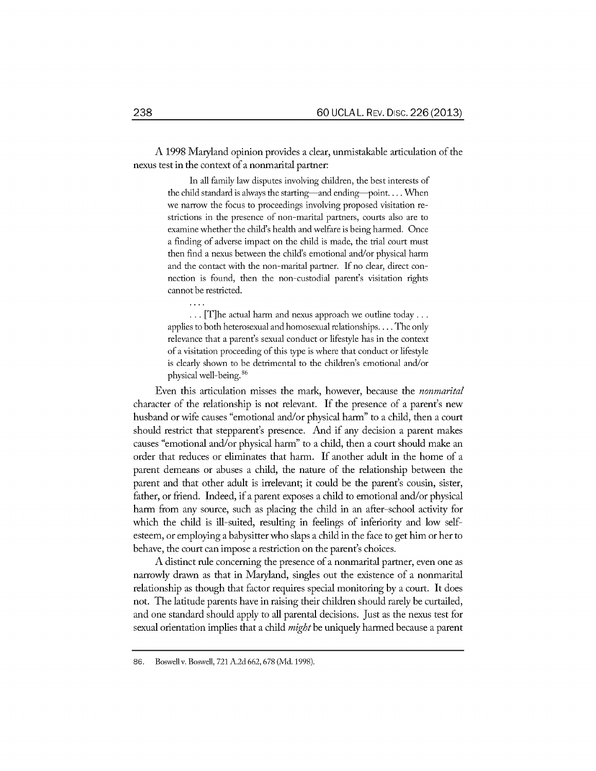A 1998 Maryland opinion provides a clear, unmistakable articulation of the nexus test in the context of a nonmarital partner:

> In all family law disputes involving children, the best interests of the child standard is always the starting-and ending-point.... When we narrow the focus to proceedings involving proposed visitation restrictions in the presence of non-marital partners, courts also are to examine whether the child's health and welfare is being harmed. Once a finding of adverse impact on the child is made, the trial court must then find a nexus between the child's emotional and/or physical harm and the contact with the non-marital partner. If no clear, direct connection is found, then the non-custodial parent's visitation rights cannot be restricted.

> **...** [T]he actual harm and nexus approach we outline today... applies to both heterosexual and homosexual relationships.... The only relevance that a parent's sexual conduct or lifestyle has in the context of a visitation proceeding of this type is where that conduct or lifestyle is clearly shown to be detrimental to the children's emotional and/or physical well-being. 86

Even this articulation misses the mark, however, because the *nonmarital* character of the relationship is not relevant. If the presence of a parent's new husband or wife causes "emotional and/or physical harm" to a child, then a court should restrict that stepparent's presence. And if any decision a parent makes causes "emotional and/or physical harm" to a child, then a court should make an order that reduces or eliminates that harm. If another adult in the home of a parent demeans or abuses a child, the nature of the relationship between the parent and that other adult is irrelevant; it could be the parent's cousin, sister, father, or friend. Indeed, if a parent exposes a child to emotional and/or physical harm from any source, such as placing the child in an after-school activity for which the child is ill-suited, resulting in feelings of inferiority and low selfesteem, or employing a babysitter who slaps a child in the face to get him or her to behave, the court can impose a restriction on the parent's choices.

**A** distinct rule concerning the presence of a nonmarital partner, even one as narrowly drawn as that in Maryland, singles out the existence of a nonmarital relationship as though that factor requires special monitoring by a court. It does not. The latitude parents have in raising their children should rarely be curtailed, and one standard should apply to all parental decisions. Just as the nexus test for sexual orientation implies that a child *might* be uniquely harmed because a parent

**<sup>86.</sup>** Boswellv. Boswell, **721** A2d 662, 678 **(Md. 1998).**